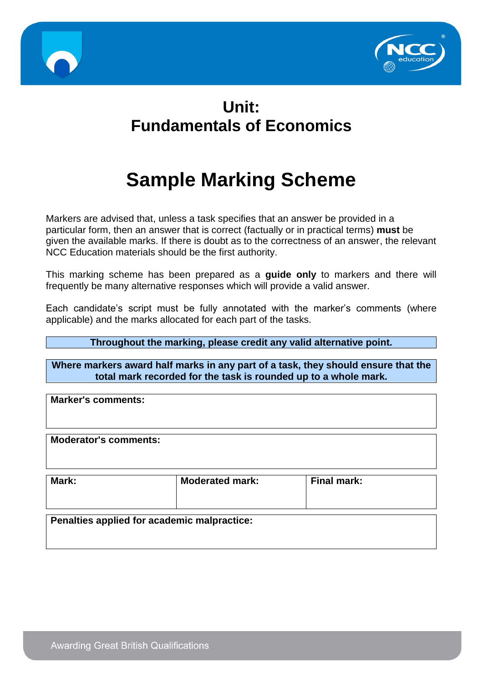



# **Unit: Fundamentals of Economics**

# **Sample Marking Scheme**

Markers are advised that, unless a task specifies that an answer be provided in a particular form, then an answer that is correct (factually or in practical terms) **must** be given the available marks. If there is doubt as to the correctness of an answer, the relevant NCC Education materials should be the first authority.

This marking scheme has been prepared as a **guide only** to markers and there will frequently be many alternative responses which will provide a valid answer.

Each candidate's script must be fully annotated with the marker's comments (where applicable) and the marks allocated for each part of the tasks.

#### **Throughout the marking, please credit any valid alternative point.**

**Where markers award half marks in any part of a task, they should ensure that the total mark recorded for the task is rounded up to a whole mark.**

**Marker's comments:**

**Moderator's comments:**

| Mark:                                       | <b>Moderated mark:</b> | Final mark: |  |  |
|---------------------------------------------|------------------------|-------------|--|--|
| Penalties applied for academic malpractice: |                        |             |  |  |
|                                             |                        |             |  |  |

**Awarding Great British Qualifications**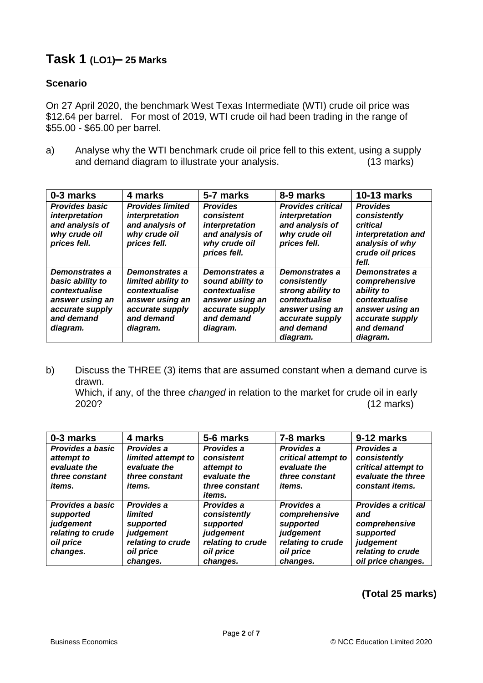# **Task 1 (LO1)– 25 Marks**

#### **Scenario**

On 27 April 2020, the benchmark West Texas Intermediate (WTI) crude oil price was \$12.64 per barrel. For most of 2019, WTI crude oil had been trading in the range of \$55.00 - \$65.00 per barrel.

a) Analyse why the WTI benchmark crude oil price fell to this extent, using a supply and demand diagram to illustrate your analysis. (13 marks)

| 0-3 marks                                                                                                           | 4 marks                                                                                                               | 5-7 marks                                                                                                           | 8-9 marks                                                                                                                            | <b>10-13 marks</b>                                                                                                             |
|---------------------------------------------------------------------------------------------------------------------|-----------------------------------------------------------------------------------------------------------------------|---------------------------------------------------------------------------------------------------------------------|--------------------------------------------------------------------------------------------------------------------------------------|--------------------------------------------------------------------------------------------------------------------------------|
| <b>Provides basic</b><br>interpretation<br>and analysis of<br>why crude oil<br>prices fell.                         | <b>Provides limited</b><br>interpretation<br>and analysis of<br>why crude oil<br>prices fell.                         | <b>Provides</b><br>consistent<br>interpretation<br>and analysis of<br>why crude oil<br>prices fell.                 | <b>Provides critical</b><br>interpretation<br>and analysis of<br>why crude oil<br>prices fell.                                       | <b>Provides</b><br>consistently<br>critical<br>interpretation and<br>analysis of why<br>crude oil prices<br>fell.              |
| Demonstrates a<br>basic ability to<br>contextualise<br>answer using an<br>accurate supply<br>and demand<br>diagram. | Demonstrates a<br>limited ability to<br>contextualise<br>answer using an<br>accurate supply<br>and demand<br>diagram. | Demonstrates a<br>sound ability to<br>contextualise<br>answer using an<br>accurate supply<br>and demand<br>diagram. | Demonstrates a<br>consistently<br>strong ability to<br>contextualise<br>answer using an<br>accurate supply<br>and demand<br>diagram. | Demonstrates a<br>comprehensive<br>ability to<br>contextualise<br>answer using an<br>accurate supply<br>and demand<br>diagram. |

b) Discuss the THREE (3) items that are assumed constant when a demand curve is drawn. Which, if any, of the three *changed* in relation to the market for crude oil in early 2020? (12 marks)

**0-3 marks 4 marks 5-6 marks 7-8 marks 9-12 marks** *Provides a basic attempt to evaluate the three constant items. Provides a limited attempt to evaluate the three constant items. Provides a consistent attempt to evaluate the three constant items. Provides a critical attempt to evaluate the three constant items. Provides a consistently critical attempt to evaluate the three constant items. Provides a basic supported judgement relating to crude Provides a limited supported judgement Provides a consistently supported judgement Provides a comprehensive supported judgement Provides a critical and comprehensive supported*

*relating to crude* 

*relating to crude* 

*oil price changes.*

*oil price changes.*

#### **(Total 25 marks)**

*oil price changes.* *relating to crude* 

*oil price changes.* *judgement relating to crude oil price changes.*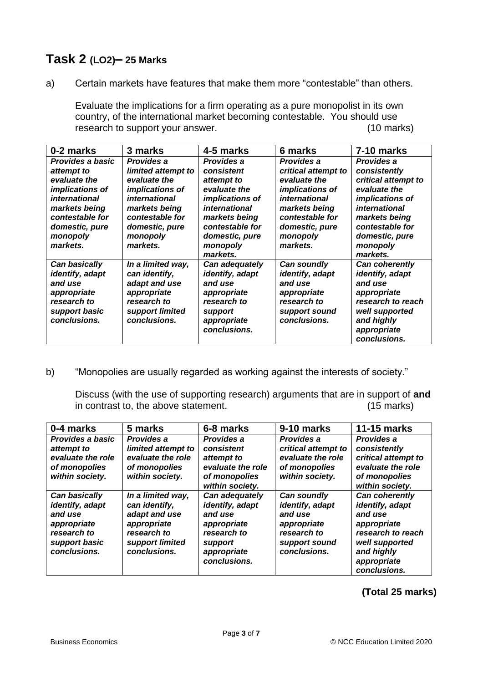### **Task 2 (LO2)– 25 Marks**

a) Certain markets have features that make them more "contestable" than others.

Evaluate the implications for a firm operating as a pure monopolist in its own country, of the international market becoming contestable. You should use research to support your answer. (10 marks)

| 0-2 marks                                                                                                                                                               | 3 marks                                                                                                                                                                           | 4-5 marks                                                                                                                                                                                          | 6 marks                                                                                                                                                               | 7-10 marks                                                                                                                                                                                                                           |
|-------------------------------------------------------------------------------------------------------------------------------------------------------------------------|-----------------------------------------------------------------------------------------------------------------------------------------------------------------------------------|----------------------------------------------------------------------------------------------------------------------------------------------------------------------------------------------------|-----------------------------------------------------------------------------------------------------------------------------------------------------------------------|--------------------------------------------------------------------------------------------------------------------------------------------------------------------------------------------------------------------------------------|
| Provides a basic                                                                                                                                                        | Provides a                                                                                                                                                                        | Provides a                                                                                                                                                                                         | Provides a                                                                                                                                                            | Provides a                                                                                                                                                                                                                           |
| attempt to                                                                                                                                                              | limited attempt to                                                                                                                                                                | consistent                                                                                                                                                                                         | critical attempt to                                                                                                                                                   | consistently                                                                                                                                                                                                                         |
| evaluate the                                                                                                                                                            | evaluate the                                                                                                                                                                      | attempt to                                                                                                                                                                                         | evaluate the                                                                                                                                                          | critical attempt to                                                                                                                                                                                                                  |
| <i>implications of</i>                                                                                                                                                  | <i>implications of</i>                                                                                                                                                            | evaluate the                                                                                                                                                                                       | <i>implications of</i>                                                                                                                                                | evaluate the                                                                                                                                                                                                                         |
| international                                                                                                                                                           | <i>international</i>                                                                                                                                                              | implications of                                                                                                                                                                                    | international                                                                                                                                                         | implications of                                                                                                                                                                                                                      |
| markets being                                                                                                                                                           | markets being                                                                                                                                                                     | international                                                                                                                                                                                      | markets being                                                                                                                                                         | international                                                                                                                                                                                                                        |
|                                                                                                                                                                         |                                                                                                                                                                                   |                                                                                                                                                                                                    |                                                                                                                                                                       |                                                                                                                                                                                                                                      |
|                                                                                                                                                                         |                                                                                                                                                                                   |                                                                                                                                                                                                    |                                                                                                                                                                       |                                                                                                                                                                                                                                      |
|                                                                                                                                                                         |                                                                                                                                                                                   |                                                                                                                                                                                                    |                                                                                                                                                                       |                                                                                                                                                                                                                                      |
|                                                                                                                                                                         |                                                                                                                                                                                   |                                                                                                                                                                                                    |                                                                                                                                                                       |                                                                                                                                                                                                                                      |
|                                                                                                                                                                         |                                                                                                                                                                                   |                                                                                                                                                                                                    |                                                                                                                                                                       |                                                                                                                                                                                                                                      |
|                                                                                                                                                                         |                                                                                                                                                                                   |                                                                                                                                                                                                    |                                                                                                                                                                       |                                                                                                                                                                                                                                      |
|                                                                                                                                                                         |                                                                                                                                                                                   |                                                                                                                                                                                                    |                                                                                                                                                                       |                                                                                                                                                                                                                                      |
|                                                                                                                                                                         |                                                                                                                                                                                   |                                                                                                                                                                                                    |                                                                                                                                                                       |                                                                                                                                                                                                                                      |
|                                                                                                                                                                         |                                                                                                                                                                                   |                                                                                                                                                                                                    |                                                                                                                                                                       |                                                                                                                                                                                                                                      |
|                                                                                                                                                                         |                                                                                                                                                                                   |                                                                                                                                                                                                    |                                                                                                                                                                       |                                                                                                                                                                                                                                      |
|                                                                                                                                                                         |                                                                                                                                                                                   |                                                                                                                                                                                                    |                                                                                                                                                                       |                                                                                                                                                                                                                                      |
|                                                                                                                                                                         |                                                                                                                                                                                   |                                                                                                                                                                                                    |                                                                                                                                                                       |                                                                                                                                                                                                                                      |
|                                                                                                                                                                         |                                                                                                                                                                                   |                                                                                                                                                                                                    |                                                                                                                                                                       |                                                                                                                                                                                                                                      |
| contestable for<br>domestic, pure<br>monopoly<br>markets.<br>Can basically<br>identify, adapt<br>and use<br>appropriate<br>research to<br>support basic<br>conclusions. | contestable for<br>domestic, pure<br>monopoly<br>markets.<br>In a limited way,<br>can identify,<br>adapt and use<br>appropriate<br>research to<br>support limited<br>conclusions. | markets being<br>contestable for<br>domestic, pure<br>monopoly<br>markets.<br>Can adequately<br>identify, adapt<br>and use<br>appropriate<br>research to<br>support<br>appropriate<br>conclusions. | contestable for<br>domestic, pure<br>monopoly<br>markets.<br>Can soundly<br>identify, adapt<br>and use<br>appropriate<br>research to<br>support sound<br>conclusions. | markets being<br>contestable for<br>domestic, pure<br>monopoly<br>markets.<br><b>Can coherently</b><br>identify, adapt<br>and use<br>appropriate<br>research to reach<br>well supported<br>and highly<br>appropriate<br>conclusions. |

b) "Monopolies are usually regarded as working against the interests of society."

Discuss (with the use of supporting research) arguments that are in support of **and** in contrast to, the above statement. (15 marks)

| 0-4 marks                                                                                                  | 5 marks                                                                                                              | 6-8 marks                                                                                                            | 9-10 marks                                                                                               | <b>11-15 marks</b>                                                                                                                              |
|------------------------------------------------------------------------------------------------------------|----------------------------------------------------------------------------------------------------------------------|----------------------------------------------------------------------------------------------------------------------|----------------------------------------------------------------------------------------------------------|-------------------------------------------------------------------------------------------------------------------------------------------------|
| <b>Provides a basic</b><br>attempt to<br>evaluate the role<br>of monopolies<br>within society.             | Provides a<br>limited attempt to<br>evaluate the role<br>of monopolies<br>within society.                            | Provides a<br>consistent<br>attempt to<br>evaluate the role<br>of monopolies<br>within society.                      | Provides a<br>critical attempt to<br>evaluate the role<br>of monopolies<br>within society.               | Provides a<br>consistently<br>critical attempt to<br>evaluate the role<br>of monopolies<br>within society.                                      |
| Can basically<br>identify, adapt<br>and use<br>appropriate<br>research to<br>support basic<br>conclusions. | In a limited way,<br>can identify,<br>adapt and use<br>appropriate<br>research to<br>support limited<br>conclusions. | Can adequately<br>identify, adapt<br>and use<br>appropriate<br>research to<br>support<br>appropriate<br>conclusions. | Can soundly<br>identify, adapt<br>and use<br>appropriate<br>research to<br>support sound<br>conclusions. | Can coherently<br>identify, adapt<br>and use<br>appropriate<br>research to reach<br>well supported<br>and highly<br>appropriate<br>conclusions. |

#### **(Total 25 marks)**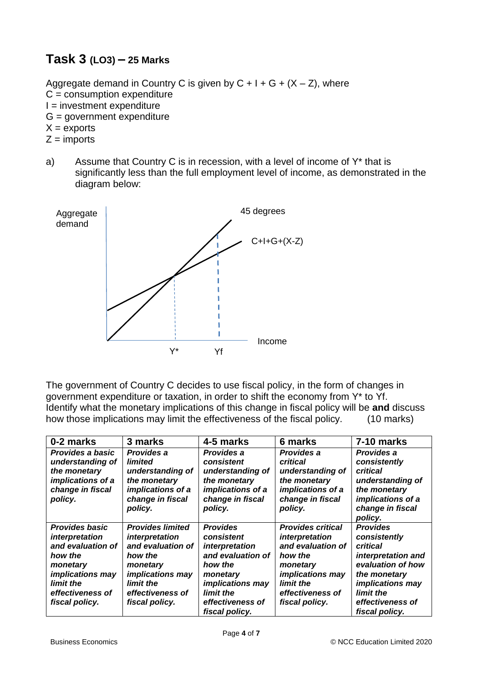## **Task 3 (LO3) – 25 Marks**

Aggregate demand in Country C is given by  $C + I + G + (X - Z)$ , where  $C =$  consumption expenditure  $I =$  investment expenditure G = government expenditure  $X =$  exports  $Z =$  imports

a) Assume that Country C is in recession, with a level of income of Y\* that is significantly less than the full employment level of income, as demonstrated in the diagram below:



The government of Country C decides to use fiscal policy, in the form of changes in government expenditure or taxation, in order to shift the economy from Y\* to Yf. Identify what the monetary implications of this change in fiscal policy will be **and** discuss how those implications may limit the effectiveness of the fiscal policy. (10 marks)

| 0-2 marks                                                                                                                                                         | 3 marks                                                                                                                                                             | 4-5 marks                                                                                                                                                                 | 6 marks                                                                                                                                                              | 7-10 marks                                                                                                                                                                           |
|-------------------------------------------------------------------------------------------------------------------------------------------------------------------|---------------------------------------------------------------------------------------------------------------------------------------------------------------------|---------------------------------------------------------------------------------------------------------------------------------------------------------------------------|----------------------------------------------------------------------------------------------------------------------------------------------------------------------|--------------------------------------------------------------------------------------------------------------------------------------------------------------------------------------|
| Provides a basic<br>understanding of<br>the monetary<br>implications of a<br>change in fiscal<br>policy.                                                          | Provides a<br>limited<br>understanding of<br>the monetary<br>implications of a<br>change in fiscal<br>policy.                                                       | Provides a<br>consistent<br>understanding of<br>the monetary<br>implications of a<br>change in fiscal<br>policy.                                                          | Provides a<br>critical<br>understanding of<br>the monetary<br>implications of a<br>change in fiscal<br>policy.                                                       | Provides a<br>consistently<br>critical<br>understanding of<br>the monetary<br>implications of a<br>change in fiscal<br>policy.                                                       |
| <b>Provides basic</b><br>interpretation<br>and evaluation of<br>how the<br>monetary<br><i>implications may</i><br>limit the<br>effectiveness of<br>fiscal policy. | <b>Provides limited</b><br>interpretation<br>and evaluation of<br>how the<br>monetary<br><i>implications may</i><br>limit the<br>effectiveness of<br>fiscal policy. | <b>Provides</b><br>consistent<br>interpretation<br>and evaluation of<br>how the<br>monetary<br><i>implications may</i><br>limit the<br>effectiveness of<br>fiscal policy. | <b>Provides critical</b><br>interpretation<br>and evaluation of<br>how the<br>monetary<br><i>implications may</i><br>limit the<br>effectiveness of<br>fiscal policy. | <b>Provides</b><br>consistently<br>critical<br>interpretation and<br>evaluation of how<br>the monetary<br><i>implications may</i><br>limit the<br>effectiveness of<br>fiscal policy. |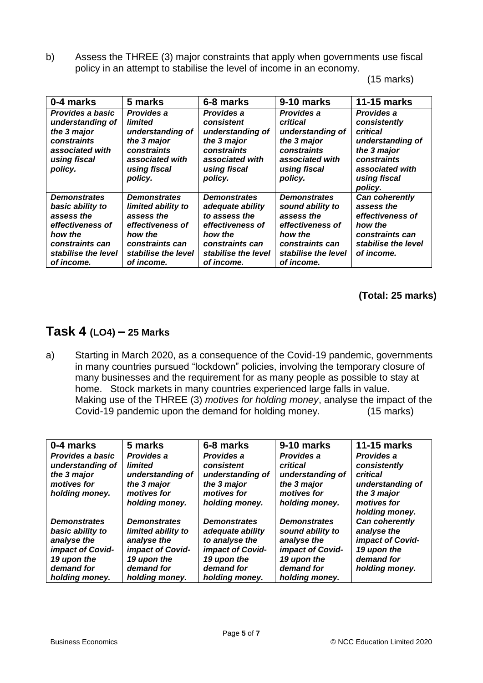b) Assess the THREE (3) major constraints that apply when governments use fiscal policy in an attempt to stabilise the level of income in an economy.

(15 marks)

| 0-4 marks                                                                                                                                    | 5 marks                                                                                                                                        | 6-8 marks                                                                                                                                       | 9-10 marks                                                                                                                                   | <b>11-15 marks</b>                                                                                                                     |
|----------------------------------------------------------------------------------------------------------------------------------------------|------------------------------------------------------------------------------------------------------------------------------------------------|-------------------------------------------------------------------------------------------------------------------------------------------------|----------------------------------------------------------------------------------------------------------------------------------------------|----------------------------------------------------------------------------------------------------------------------------------------|
| Provides a basic<br>understanding of<br>the 3 major<br>constraints<br>associated with<br>using fiscal<br>policy.                             | Provides a<br>limited<br>understanding of<br>the 3 major<br>constraints<br>associated with<br>using fiscal<br>policy.                          | Provides a<br>consistent<br>understanding of<br>the 3 major<br>constraints<br>associated with<br>using fiscal<br>policy.                        | Provides a<br>critical<br>understanding of<br>the 3 major<br>constraints<br>associated with<br>using fiscal<br>policy.                       | Provides a<br>consistently<br>critical<br>understanding of<br>the 3 major<br>constraints<br>associated with<br>using fiscal<br>policy. |
| <b>Demonstrates</b><br>basic ability to<br>assess the<br>effectiveness of<br>how the<br>constraints can<br>stabilise the level<br>of income. | <b>Demonstrates</b><br>limited ability to<br>assess the<br>effectiveness of<br>how the<br>constraints can<br>stabilise the level<br>of income. | <b>Demonstrates</b><br>adequate ability<br>to assess the<br>effectiveness of<br>how the<br>constraints can<br>stabilise the level<br>of income. | <b>Demonstrates</b><br>sound ability to<br>assess the<br>effectiveness of<br>how the<br>constraints can<br>stabilise the level<br>of income. | Can coherently<br>assess the<br>effectiveness of<br>how the<br>constraints can<br>stabilise the level<br>of income.                    |

**(Total: 25 marks)**

# **Task 4 (LO4) – 25 Marks**

a) Starting in March 2020, as a consequence of the Covid-19 pandemic, governments in many countries pursued "lockdown" policies, involving the temporary closure of many businesses and the requirement for as many people as possible to stay at home. Stock markets in many countries experienced large falls in value. Making use of the THREE (3) *motives for holding money*, analyse the impact of the Covid-19 pandemic upon the demand for holding money. (15 marks)

| 0-4 marks                                                                                                                 | 5 marks                                                                                                                     | 6-8 marks                                                                                                                    | 9-10 marks                                                                                                                | <b>11-15 marks</b>                                                                                         |
|---------------------------------------------------------------------------------------------------------------------------|-----------------------------------------------------------------------------------------------------------------------------|------------------------------------------------------------------------------------------------------------------------------|---------------------------------------------------------------------------------------------------------------------------|------------------------------------------------------------------------------------------------------------|
| Provides a basic<br>understanding of<br>the 3 major<br>motives for<br>holding money.                                      | Provides a<br>limited<br>understanding of<br>the 3 major<br>motives for<br>holding money.                                   | Provides a<br>consistent<br>understanding of<br>the 3 major<br>motives for<br>holding money.                                 | Provides a<br>critical<br>understanding of<br>the 3 major<br>motives for<br>holding money.                                | Provides a<br>consistently<br>critical<br>understanding of<br>the 3 major<br>motives for<br>holding money. |
| <b>Demonstrates</b><br>basic ability to<br>analyse the<br>impact of Covid-<br>19 upon the<br>demand for<br>holding money. | <b>Demonstrates</b><br>limited ability to<br>analyse the<br>impact of Covid-<br>19 upon the<br>demand for<br>holding money. | <b>Demonstrates</b><br>adequate ability<br>to analyse the<br>impact of Covid-<br>19 upon the<br>demand for<br>holding money. | <b>Demonstrates</b><br>sound ability to<br>analyse the<br>impact of Covid-<br>19 upon the<br>demand for<br>holding money. | Can coherently<br>analyse the<br>impact of Covid-<br>19 upon the<br>demand for<br>holding money.           |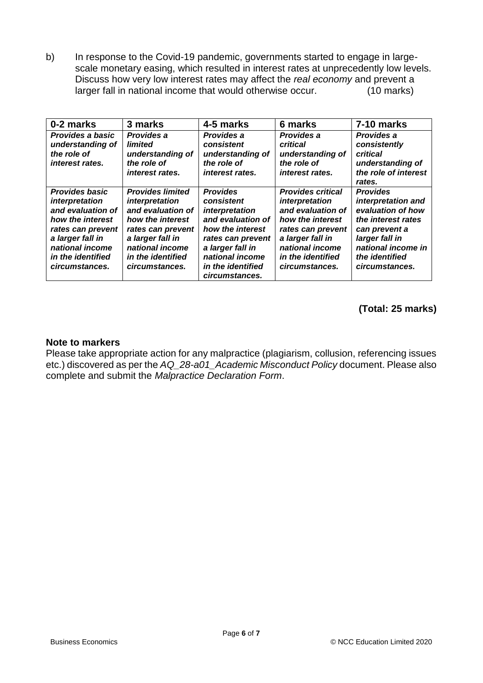b) In response to the Covid-19 pandemic, governments started to engage in largescale monetary easing, which resulted in interest rates at unprecedently low levels. Discuss how very low interest rates may affect the *real economy* and prevent a larger fall in national income that would otherwise occur. (10 marks)

| 0-2 marks                                                                                                                                                                           | 3 marks                                                                                                                                                                               | 4-5 marks                                                                                                                                                                                   | 6 marks                                                                                                                                                                                | 7-10 marks                                                                                                                                                                    |
|-------------------------------------------------------------------------------------------------------------------------------------------------------------------------------------|---------------------------------------------------------------------------------------------------------------------------------------------------------------------------------------|---------------------------------------------------------------------------------------------------------------------------------------------------------------------------------------------|----------------------------------------------------------------------------------------------------------------------------------------------------------------------------------------|-------------------------------------------------------------------------------------------------------------------------------------------------------------------------------|
| Provides a basic<br>understanding of<br>the role of<br>interest rates.                                                                                                              | Provides a<br>limited<br>understanding of<br>the role of<br><i>interest rates.</i>                                                                                                    | Provides a<br>consistent<br>understanding of<br>the role of<br><i>interest rates.</i>                                                                                                       | Provides a<br>critical<br>understanding of<br>the role of<br><i>interest rates.</i>                                                                                                    | Provides a<br>consistently<br>critical<br>understanding of<br>the role of interest<br>rates.                                                                                  |
| <b>Provides basic</b><br>interpretation<br>and evaluation of<br>how the interest<br>rates can prevent<br>a larger fall in<br>national income<br>in the identified<br>circumstances. | <b>Provides limited</b><br>interpretation<br>and evaluation of<br>how the interest<br>rates can prevent<br>a larger fall in<br>national income<br>in the identified<br>circumstances. | <b>Provides</b><br>consistent<br>interpretation<br>and evaluation of<br>how the interest<br>rates can prevent<br>a larger fall in<br>national income<br>in the identified<br>circumstances. | <b>Provides critical</b><br>interpretation<br>and evaluation of<br>how the interest<br>rates can prevent<br>a larger fall in<br>national income<br>in the identified<br>circumstances. | <b>Provides</b><br>interpretation and<br>evaluation of how<br>the interest rates<br>can prevent a<br>larger fall in<br>national income in<br>the identified<br>circumstances. |

#### **(Total: 25 marks)**

#### **Note to markers**

Please take appropriate action for any malpractice (plagiarism, collusion, referencing issues etc.) discovered as per the *AQ\_28-a01\_Academic Misconduct Policy* document. Please also complete and submit the *Malpractice Declaration Form*.